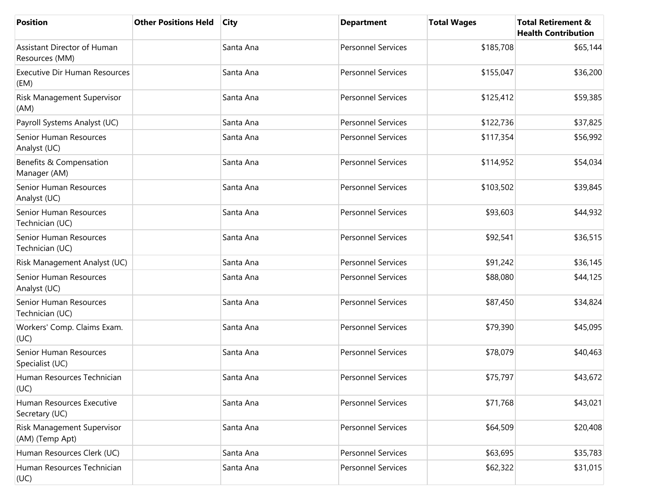| <b>Position</b>                               | <b>Other Positions Held</b> | City      | <b>Department</b>         | <b>Total Wages</b> | <b>Total Retirement &amp;</b><br><b>Health Contribution</b> |
|-----------------------------------------------|-----------------------------|-----------|---------------------------|--------------------|-------------------------------------------------------------|
| Assistant Director of Human<br>Resources (MM) |                             | Santa Ana | <b>Personnel Services</b> | \$185,708          | \$65,144                                                    |
| <b>Executive Dir Human Resources</b><br>(EM)  |                             | Santa Ana | <b>Personnel Services</b> | \$155,047          | \$36,200                                                    |
| Risk Management Supervisor<br>(AM)            |                             | Santa Ana | <b>Personnel Services</b> | \$125,412          | \$59,385                                                    |
| Payroll Systems Analyst (UC)                  |                             | Santa Ana | <b>Personnel Services</b> | \$122,736          | \$37,825                                                    |
| Senior Human Resources<br>Analyst (UC)        |                             | Santa Ana | <b>Personnel Services</b> | \$117,354          | \$56,992                                                    |
| Benefits & Compensation<br>Manager (AM)       |                             | Santa Ana | <b>Personnel Services</b> | \$114,952          | \$54,034                                                    |
| Senior Human Resources<br>Analyst (UC)        |                             | Santa Ana | <b>Personnel Services</b> | \$103,502          | \$39,845                                                    |
| Senior Human Resources<br>Technician (UC)     |                             | Santa Ana | <b>Personnel Services</b> | \$93,603           | \$44,932                                                    |
| Senior Human Resources<br>Technician (UC)     |                             | Santa Ana | <b>Personnel Services</b> | \$92,541           | \$36,515                                                    |
| Risk Management Analyst (UC)                  |                             | Santa Ana | <b>Personnel Services</b> | \$91,242           | \$36,145                                                    |
| Senior Human Resources<br>Analyst (UC)        |                             | Santa Ana | <b>Personnel Services</b> | \$88,080           | \$44,125                                                    |
| Senior Human Resources<br>Technician (UC)     |                             | Santa Ana | <b>Personnel Services</b> | \$87,450           | \$34,824                                                    |
| Workers' Comp. Claims Exam.<br>(UC)           |                             | Santa Ana | <b>Personnel Services</b> | \$79,390           | \$45,095                                                    |
| Senior Human Resources<br>Specialist (UC)     |                             | Santa Ana | <b>Personnel Services</b> | \$78,079           | \$40,463                                                    |
| Human Resources Technician<br>(UC)            |                             | Santa Ana | Personnel Services        | \$75,797           | \$43,672                                                    |
| Human Resources Executive<br>Secretary (UC)   |                             | Santa Ana | <b>Personnel Services</b> | \$71,768           | \$43,021                                                    |
| Risk Management Supervisor<br>(AM) (Temp Apt) |                             | Santa Ana | Personnel Services        | \$64,509           | \$20,408                                                    |
| Human Resources Clerk (UC)                    |                             | Santa Ana | <b>Personnel Services</b> | \$63,695           | \$35,783                                                    |
| Human Resources Technician<br>(UC)            |                             | Santa Ana | Personnel Services        | \$62,322           | \$31,015                                                    |